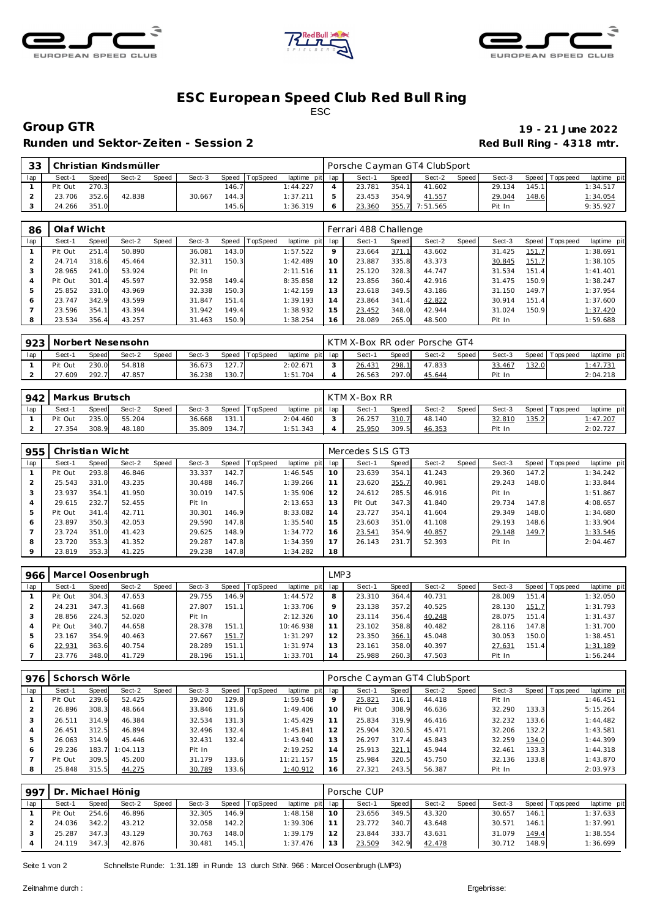





## **ESC European Speed C lub Red Bull R ing** ESC

Runden und Sektor-Zeiten - Session 2 **Red Bull Ring - 4318 mtr.** 

# **Group GTR 19 - 21 June 2022**

| 33 |         |       | Christian Kindsmüller |       |        |       |          |                 | Porsche Cayman GT4 ClubSport |         |                |       |        |              |          |             |
|----|---------|-------|-----------------------|-------|--------|-------|----------|-----------------|------------------------------|---------|----------------|-------|--------|--------------|----------|-------------|
|    | Sect-1  | Speed | Sect-2                | Speed | Sect-3 | Speed | TopSpeed | laptime pit lap | Sect-1                       | Speed I | Sect-2         | Speed | Sect-3 | Speed        | Topspeed | laptime pit |
|    | Pit Out | 270.3 |                       |       |        | 146.7 |          | 1:44.227        | 23.781                       | 354.7   | 41.602         |       | 29.134 | 145.1        |          | 1:34.517    |
|    | 23.706  | 352.6 | 42.838                |       | 30.667 | 144.3 |          | 1:37.211        | 23.453                       | 354.9   | 41.557         |       | 29.044 | <u>148.6</u> |          | 1:34.054    |
|    | 24.266  | 351.0 |                       |       |        | 145.6 |          | 1:36.319        | 23.360                       |         | 355.7 7:51.565 |       | Pit In |              |          | 9:35.927    |

| 86  | Olaf Wicht |       |        |       |        |       |          |                |         | Ferrari 488 Challenge |       |        |       |             |       |                 |             |
|-----|------------|-------|--------|-------|--------|-------|----------|----------------|---------|-----------------------|-------|--------|-------|-------------|-------|-----------------|-------------|
| lap | Sect-1     | Speed | Sect-2 | Speed | Sect-3 | Speed | TopSpeed | laptime<br>pit | lap     | Sect-1                | Speed | Sect-2 | Speed | Sect-3      |       | Speed Tops peed | laptime pit |
|     | Pit Out    | 251.4 | 50.890 |       | 36.081 | 143.0 |          | 1:57.522       | $\circ$ | 23.664                | 371.1 | 43.602 |       | 31.425      | 151.7 |                 | 1:38.691    |
|     | 24.714     | 318.6 | 45.464 |       | 32.311 | 150.3 |          | 1:42.489       | 10      | 23.887                | 335.8 | 43.373 |       | 30.845      | 151.7 |                 | 1:38.105    |
|     | 28.965     | 241.0 | 53.924 |       | Pit In |       |          | 2:11.516       |         | 25.120                | 328.3 | 44.747 |       | 31.534      | 151.4 |                 | 1:41.401    |
| 4   | Pit Out    | 301.4 | 45.597 |       | 32.958 | 149.4 |          | 8:35.858       | 12      | 23.856                | 360.4 | 42.916 |       | .475<br>31. | 150.9 |                 | 1:38.247    |
| 5   | 25.852     | 331.0 | 43.969 |       | 32.338 | 150.3 |          | 1:42.159       | 13      | 23.618                | 349.5 | 43.186 |       | 31.150      | 149.7 |                 | 1:37.954    |
| 6   | 23.747     | 342.9 | 43.599 |       | 31.847 | 151.4 |          | 1:39.193       | 14      | 23.864                | 341.4 | 42.822 |       | 30.914      | 151.4 |                 | 1:37.600    |
|     | 23.596     | 354.1 | 43.394 |       | 31.942 | 149.4 |          | 1:38.932       | 15      | 23.452                | 348.0 | 42.944 |       | 31.024      | 150.9 |                 | 1:37.420    |
| 8   | 23.534     | 356.4 | 43.257 |       | 31.463 | 150.9 |          | 1:38.254       | 16      | 28.089                | 265.0 | 48.500 |       | Pit In      |       |                 | 1:59.688    |

|     | 923   Norbert Nesensohn |       |        |              |        |       |                |                 | I KTM X-Box RR oder Porsche GT4 |       |        |       |        |       |                   |                  |
|-----|-------------------------|-------|--------|--------------|--------|-------|----------------|-----------------|---------------------------------|-------|--------|-------|--------|-------|-------------------|------------------|
| lap | Sect-1                  | Speed | Sect-2 | <b>Speed</b> | Sect-3 |       | Speed TopSpeed | laptime pit lap | Sect-1                          | Speed | Sect-2 | Speed | Sect-3 |       | Speed   Tops peed | laptime pit      |
|     | Pit Out                 | 230.0 | 54.818 |              | 36.673 | 127.7 |                | 2:02.671        | 26.431                          | 298.1 | 47.833 |       | 33.467 | 132.0 |                   | <u>l: 47.731</u> |
|     | 27.609                  | 292.7 | 47.857 |              | 36.238 | 130.7 |                | 1:51.704        | 26.563                          | 297.0 | 45.644 |       | Pit In |       |                   | 2:04.218         |

|     | 942   Markus Brutsch |       |        |       |        |       |                |                 | KTM X-Box RR |       |        |       |        |       |                 |             |
|-----|----------------------|-------|--------|-------|--------|-------|----------------|-----------------|--------------|-------|--------|-------|--------|-------|-----------------|-------------|
| lap | Sect-1               | Speed | Sect-2 | Speed | Sect-3 |       | Speed TopSpeed | laptime pit lap | Sect-1       | Speed | Sect-2 | Speed | Sect-3 |       | Speed Tops peed | laptime pit |
|     | Pit Out              | 235.0 | 55.204 |       | 36.668 | 131.1 |                | 2:04.460        | 26.257       | 310.7 | 48.140 |       | 32.810 | 135.2 |                 | 1:47.207    |
|     | 27.354               | 308.9 | 48.180 |       | 35.809 | 134.7 |                | 1:51.343        | 25.950       | 309.5 | 46.353 |       | Pit In |       |                 | 2:02.727    |

| 955     |         | Christian Wicht |        |       |        |       |                 |             |     | Mercedes SLS GT3 |       |        |       |        |       |                |             |
|---------|---------|-----------------|--------|-------|--------|-------|-----------------|-------------|-----|------------------|-------|--------|-------|--------|-------|----------------|-------------|
| lap     | Sect-1  | Speed           | Sect-2 | Speed | Sect-3 | Speed | <b>TopSpeed</b> | laptime pit | lap | Sect-1           | Speed | Sect-2 | Speed | Sect-3 |       | Speed Topspeed | laptime pit |
|         | Pit Out | 293.8           | 46.846 |       | 33.337 | 142.7 |                 | 1:46.545    | 10  | 23.639           | 354.1 | 41.243 |       | 29.360 | 147.2 |                | 1:34.242    |
|         | 25.543  | 331.0           | 43.235 |       | 30.488 | 146.7 |                 | 1:39.266    |     | 23.620           | 355.7 | 40.981 |       | 29.243 | 148.0 |                | 1:33.844    |
|         | 23.937  | 354.1           | 41.950 |       | 30.019 | 147.5 |                 | 1:35.906    | 12  | 24.612           | 285.5 | 46.916 |       | Pit In |       |                | 1:51.867    |
| 4       | 29.615  | 232.7           | 52.455 |       | Pit In |       |                 | 2:13.653    | 13  | Pit Out          | 347.3 | 41.840 |       | 29.734 | 147.8 |                | 4:08.657    |
| 5       | Pit Out | 341.4           | 42.711 |       | 30.301 | 146.9 |                 | 8:33.082    | 14  | 23.727           | 354.1 | 41.604 |       | 29.349 | 148.0 |                | 1:34.680    |
| 6       | 23.897  | 350.3           | 42.053 |       | 29.590 | 147.8 |                 | 1:35.540    | 15  | 23.603           | 351.0 | 41.108 |       | 29.193 | 148.6 |                | 1:33.904    |
|         | 23.724  | 351.0           | 41.423 |       | 29.625 | 148.9 |                 | 1:34.772    | 16  | 23.541           | 354.9 | 40.857 |       | 29.148 | 149.7 |                | 1:33.546    |
| 8       | 23.720  | 353.3           | 41.352 |       | 29.287 | 147.8 |                 | 1:34.359    |     | 26.143           | 231.7 | 52.393 |       | Pit In |       |                | 2:04.467    |
| $\circ$ | 23.819  | 353.3           | 41.225 |       | 29.238 | 147.8 |                 | 1:34.282    | 18  |                  |       |        |       |        |       |                |             |

| 966 |         |       | Marcel Oosenbrugh |       |        |              |          |                | LMP3 |        |       |        |       |        |       |           |             |
|-----|---------|-------|-------------------|-------|--------|--------------|----------|----------------|------|--------|-------|--------|-------|--------|-------|-----------|-------------|
| lap | Sect-1  | Speed | Sect-2            | Speed | Sect-3 | <b>Speed</b> | TopSpeed | laptime<br>pit | lap  | Sect-1 | Speed | Sect-2 | Speed | Sect-3 | Speed | Tops peed | laptime pit |
|     | Pit Out | 304.3 | 47.653            |       | 29.755 | 146.9        |          | 1:44.572       | 8    | 23.310 | 364.4 | 40.731 |       | 28.009 | 151.4 |           | 1:32.050    |
|     | 24.231  | 347.3 | 41.668            |       | 27.807 | 151.1        |          | 1:33.706       |      | 23.138 | 357.2 | 40.525 |       | 28.130 | 151.7 |           | 1:31.793    |
|     | 28.856  | 224.3 | 52.020            |       | Pit In |              |          | 2:12.326       | 10   | 23.114 | 356.4 | 40.248 |       | 28.075 | 151.4 |           | 1:31.437    |
| 4   | Pit Out | 340.7 | 44.658            |       | 28.378 | 151.1        |          | 10:46.938      |      | 23.102 | 358.8 | 40.482 |       | 28.116 | 147.8 |           | 1:31.700    |
|     | 23.167  | 354.9 | 40.463            |       | 27.667 | 151.7        |          | 1:31.297       |      | 23.350 | 366.7 | 45.048 |       | 30.053 | 150.0 |           | 1:38.451    |
|     | 22.931  | 363.6 | 40.754            |       | 28.289 | 151.1        |          | 1:31.974       |      | 23.161 | 358.0 | 40.397 |       | 27.631 | 151.4 |           | 1:31.189    |
|     | 23.776  | 348.0 | 41.729            |       | 28.196 | 151.1        |          | 1:33.701       | 4    | 25.988 | 260.3 | 47.503 |       | Pit In |       |           | 1:56.244    |

| 976 | Schorsch Wörle |       |          |       |        |       |          |             |         | Porsche Cayman GT4 ClubSport |       |        |       |        |        |                  |             |
|-----|----------------|-------|----------|-------|--------|-------|----------|-------------|---------|------------------------------|-------|--------|-------|--------|--------|------------------|-------------|
| lap | Sect-1         | Speed | Sect-2   | Speed | Sect-3 | Speed | TopSpeed | laptime pit | lap     | Sect-1                       | Speed | Sect-2 | Speed | Sect-3 | Speed  | <b>Tops peed</b> | laptime pit |
|     | Pit Out        | 239.6 | 52.425   |       | 39.200 | 129.8 |          | 1:59.548    | $\circ$ | 25.821                       | 316.1 | 44.418 |       | Pit In |        |                  | 1:46.451    |
|     | 26.896         | 308.3 | 48.664   |       | 33.846 | 131.6 |          | 1:49.406    | 10      | Pit Out                      | 308.9 | 46.636 |       | 32.290 | 133.31 |                  | 5:15.264    |
|     | 26.511         | 314.9 | 46.384   |       | 32.534 | 131.3 |          | 1:45.429    |         | 25.834                       | 319.9 | 46.416 |       | 32.232 | 133.6  |                  | 1:44.482    |
|     | 26.451         | 312.5 | 46.894   |       | 32.496 | 132.4 |          | 1:45.841    | 12      | 25.904                       | 320.5 | 45.471 |       | 32.206 | 132.2  |                  | 1:43.581    |
| 5   | 26.063         | 314.9 | 45.446   |       | 32.431 | 132.4 |          | 1:43.940    | 13      | 26.297                       | 317.4 | 45.843 |       | 32.259 | 134.0  |                  | 1:44.399    |
|     | 29.236         | 183.7 | 1:04.113 |       | Pit In |       |          | 2:19.252    | 14      | 25.913                       | 321.1 | 45.944 |       | 32.461 | 133.3  |                  | 1:44.318    |
|     | Pit Out        | 309.5 | 45.200   |       | 31.179 | 133.6 |          | 11:21.157   | 15      | 25.984                       | 320.5 | 45.750 |       | 32.136 | 133.8  |                  | 1:43.870    |
|     | 25.848         | 315.5 | 44.275   |       | 30.789 | 133.6 |          | 1:40.912    | 16      | 27.321                       | 243.5 | 56.387 |       | Pit In |        |                  | 2:03.973    |

| 997 | Dr. Michael Hönig |       |        |       |        |       |                  |                 |    | Porsche CUP |       |        |       |        |        |                 |             |
|-----|-------------------|-------|--------|-------|--------|-------|------------------|-----------------|----|-------------|-------|--------|-------|--------|--------|-----------------|-------------|
| lap | Sect-1            | Speed | Sect-2 | Speed | Sect-3 |       | Speed   TopSpeed | laptime pit lap |    | Sect-1      | Speed | Sect-2 | Speed | Sect-3 |        | Speed Tops peed | laptime pit |
|     | Pit Out           | 254.6 | 46.896 |       | 32.305 | 146.9 |                  | 1:48.158        | 10 | 23.656      | 349.5 | 43.320 |       | 30.657 | 146.11 |                 | 1:37.633    |
|     | 24.036            | 342.2 | 43.212 |       | 32.058 | 142.2 |                  | 1:39.306        |    | 23.772      | 340.7 | 43.648 |       | 30.571 | 146.11 |                 | 1:37.991    |
|     | 25.287            | 347.3 | 43.129 |       | 30.763 | 148.0 |                  | 1:39.179        | 12 | 23.844      | 333.7 | 43.631 |       | 31.079 | 149.4  |                 | 1:38.554    |
|     | 24.119            | 347.3 | 42.876 |       | 30.481 | 145.1 |                  | 1:37.476        | 13 | 23.509      | 342.9 | 42.478 |       | 30.712 | 148.9  |                 | 1:36.699    |